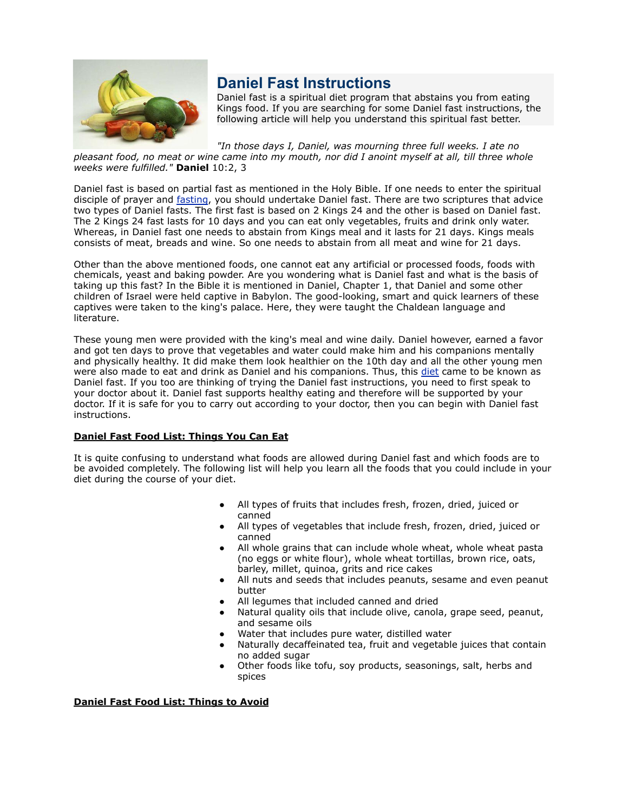

# **Daniel Fast Instructions**

Daniel fast is a spiritual diet program that abstains you from eating Kings food. If you are searching for some Daniel fast instructions, the following article will help you understand this spiritual fast better.

*"In those days I, Daniel, was mourning three full weeks. I ate no*

*pleasant food, no meat or wine came into my mouth, nor did I anoint myself at all, till three whole weeks were fulfilled."* **Daniel** 10:2, 3

Daniel fast is based on partial fast as mentioned in the Holy Bible. If one needs to enter the spiritual disciple of prayer and [fasting](http://www.buzzle.com/articles/fasting/), you should undertake Daniel fast. There are two scriptures that advice two types of Daniel fasts. The first fast is based on 2 Kings 24 and the other is based on Daniel fast. The 2 Kings 24 fast lasts for 10 days and you can eat only vegetables, fruits and drink only water. Whereas, in Daniel fast one needs to abstain from Kings meal and it lasts for 21 days. Kings meals consists of meat, breads and wine. So one needs to abstain from all meat and wine for 21 days.

Other than the above mentioned foods, one cannot eat any artificial or processed foods, foods with chemicals, yeast and baking powder. Are you wondering what is Daniel fast and what is the basis of taking up this fast? In the Bible it is mentioned in Daniel, Chapter 1, that Daniel and some other children of Israel were held captive in Babylon. The good-looking, smart and quick learners of these captives were taken to the king's palace. Here, they were taught the Chaldean language and literature.

These young men were provided with the king's meal and wine daily. Daniel however, earned a favor and got ten days to prove that vegetables and water could make him and his companions mentally and physically healthy. It did make them look healthier on the 10th day and all the other young men were also made to eat and drink as Daniel and his companions. Thus, this [diet](http://www.buzzle.com/articles/diet/) came to be known as Daniel fast. If you too are thinking of trying the Daniel fast instructions, you need to first speak to your doctor about it. Daniel fast supports healthy eating and therefore will be supported by your doctor. If it is safe for you to carry out according to your doctor, then you can begin with Daniel fast instructions.

## **Daniel Fast Food List: Things You Can Eat**

It is quite confusing to understand what foods are allowed during Daniel fast and which foods are to be avoided completely. The following list will help you learn all the foods that you could include in your diet during the course of your diet.

- All types of fruits that includes fresh, frozen, dried, juiced or canned
- All types of vegetables that include fresh, frozen, dried, juiced or canned
- All whole grains that can include whole wheat, whole wheat pasta (no eggs or white flour), whole wheat tortillas, brown rice, oats, barley, millet, quinoa, grits and rice cakes
- All nuts and seeds that includes peanuts, sesame and even peanut butter
- All legumes that included canned and dried
- Natural quality oils that include olive, canola, grape seed, peanut, and sesame oils
- Water that includes pure water, distilled water
- Naturally decaffeinated tea, fruit and vegetable juices that contain no added sugar
- Other foods like tofu, soy products, seasonings, salt, herbs and spices

### **Daniel Fast Food List: Things to Avoid**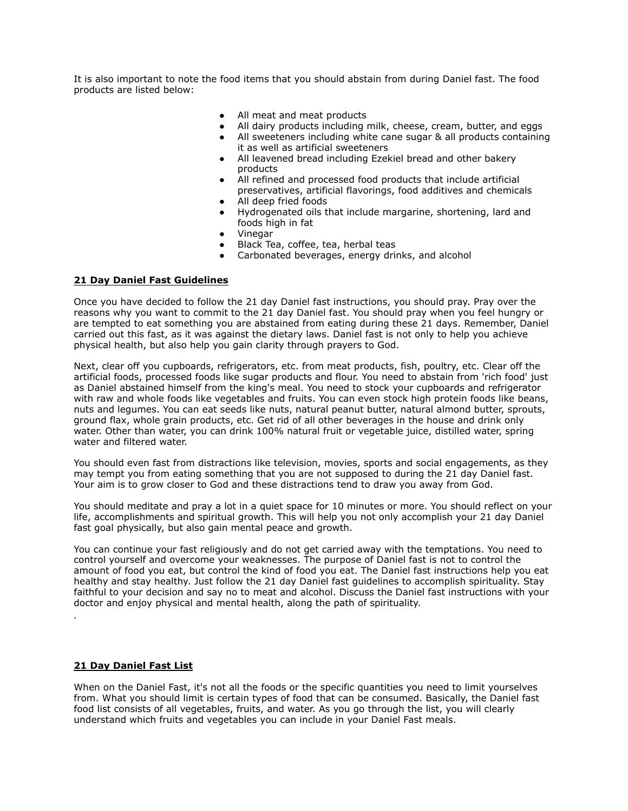It is also important to note the food items that you should abstain from during Daniel fast. The food products are listed below:

- All meat and meat products
- All dairy products including milk, cheese, cream, butter, and eggs
- All sweeteners including white cane sugar & all products containing it as well as artificial sweeteners
- All leavened bread including Ezekiel bread and other bakery products
- All refined and processed food products that include artificial preservatives, artificial flavorings, food additives and chemicals
- All deep fried foods
- Hydrogenated oils that include margarine, shortening, lard and foods high in fat
- Vinegar
- Black Tea, coffee, tea, herbal teas
- Carbonated beverages, energy drinks, and alcohol

### **21 Day Daniel Fast Guidelines**

Once you have decided to follow the 21 day Daniel fast instructions, you should pray. Pray over the reasons why you want to commit to the 21 day Daniel fast. You should pray when you feel hungry or are tempted to eat something you are abstained from eating during these 21 days. Remember, Daniel carried out this fast, as it was against the dietary laws. Daniel fast is not only to help you achieve physical health, but also help you gain clarity through prayers to God.

Next, clear off you cupboards, refrigerators, etc. from meat products, fish, poultry, etc. Clear off the artificial foods, processed foods like sugar products and flour. You need to abstain from 'rich food' just as Daniel abstained himself from the king's meal. You need to stock your cupboards and refrigerator with raw and whole foods like vegetables and fruits. You can even stock high protein foods like beans, nuts and legumes. You can eat seeds like nuts, natural peanut butter, natural almond butter, sprouts, ground flax, whole grain products, etc. Get rid of all other beverages in the house and drink only water. Other than water, you can drink 100% natural fruit or vegetable juice, distilled water, spring water and filtered water.

You should even fast from distractions like television, movies, sports and social engagements, as they may tempt you from eating something that you are not supposed to during the 21 day Daniel fast. Your aim is to grow closer to God and these distractions tend to draw you away from God.

You should meditate and pray a lot in a quiet space for 10 minutes or more. You should reflect on your life, accomplishments and spiritual growth. This will help you not only accomplish your 21 day Daniel fast goal physically, but also gain mental peace and growth.

You can continue your fast religiously and do not get carried away with the temptations. You need to control yourself and overcome your weaknesses. The purpose of Daniel fast is not to control the amount of food you eat, but control the kind of food you eat. The Daniel fast instructions help you eat healthy and stay healthy. Just follow the 21 day Daniel fast guidelines to accomplish spirituality. Stay faithful to your decision and say no to meat and alcohol. Discuss the Daniel fast instructions with your doctor and enjoy physical and mental health, along the path of spirituality.

#### **21 Day Daniel Fast List**

.

When on the Daniel Fast, it's not all the foods or the specific quantities you need to limit yourselves from. What you should limit is certain types of food that can be consumed. Basically, the Daniel fast food list consists of all vegetables, fruits, and water. As you go through the list, you will clearly understand which fruits and vegetables you can include in your Daniel Fast meals.